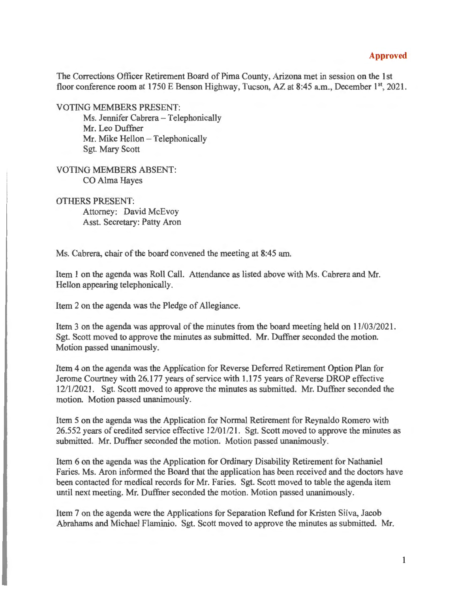## **Approved**

The Corrections Officer Retirement Board of Pima County, Arizona met in session on the 1st floor conference room at 1750 E Benson Highway, Tucson, AZ at 8:45 a.m., December 1<sup>st</sup>, 2021.

VOTING MEMBERS PRESENT:

Ms. Jennifer Cabrera - Telephonically Mr. Leo Duffner Mr. Mike Hellon - Telephonically Sgt. Mary Scott

VOTING MEMBERS ABSENT: CO Alma Hayes

## OTHERS PRESENT:

Attorney: David McEvoy Asst. Secretary: Patty Aron

Ms. Cabrera, chair of the board convened the meeting at 8:45 am.

Item 1 on the agenda was Roll Call. Attendance as listed above with Ms. Cabrera and Mr. Hellon appearing telephonically.

Item 2 on the agenda was the Pledge of Allegiance.

Item 3 on the agenda was approval of the minutes from the board meeting held on 11/03/2021. Sgt. Scott moved to approve the minutes as submitted. Mr. Duffner seconded the motion. Motion passed unanimously.

Item 4 on the agenda was the Application for Reverse Deferred Retirement Option Plan for Jerome Courtney with 26.177 years of service with 1.175 years of Reverse DROP effective 12/1/2021. Sgt. Scott moved to approve the minutes as submitted. Mr. Duffner seconded the motion. Motion passed unanimously.

Item 5 on the agenda was the Application for Normal Retirement for Reynaldo Romero with 26.552 years of credited service effective 12/01/21. Sgt. Scott moved to approve the minutes as submitted. Mr. Duffner seconded the motion. Motion passed unanimously.

Item 6 on the agenda was the Application for Ordinary Disability Retirement for Nathaniel Faries. Ms. Aron informed the Board that the application has been received and the doctors have been contacted for medical records for **Mr.** Faries. Sgt. Scott moved to table the agenda item until next meeting. Mr. Duffner seconded the motion. Motion passed unanimously.

Item 7 on the agenda were the Applications for Separation Refund for Kristen Silva, Jacob Abrahams and Michael Flaminio. Sgt. Scott moved to approve the minutes as submitted. Mr.